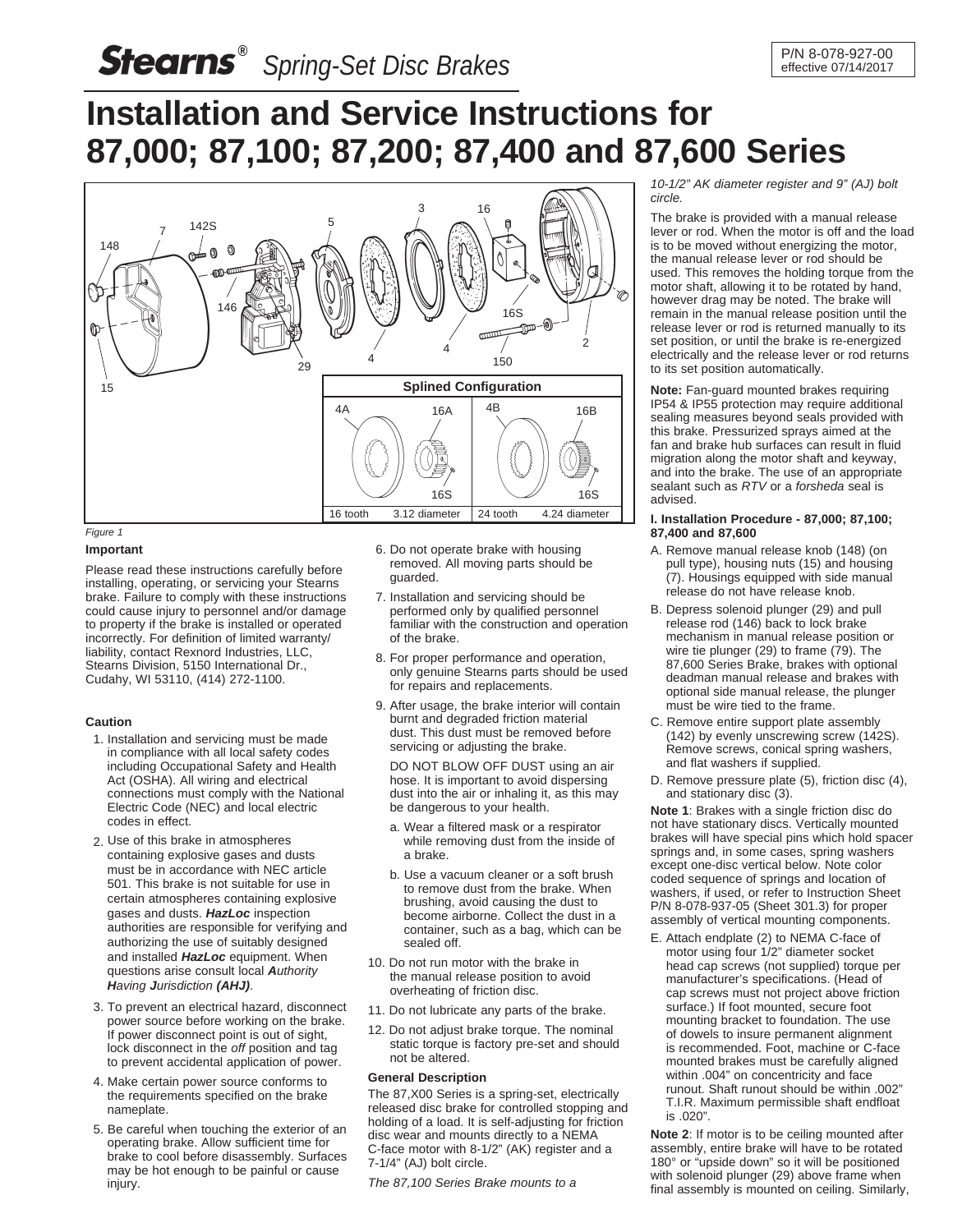# **Installation and Service Instructions for 87,000; 87,100; 87,200; 87,400 and 87,600 Series**



#### *Figure 1*

# **Important**

Please read these instructions carefully before installing, operating, or servicing your Stearns brake. Failure to comply with these instructions could cause injury to personnel and/or damage to property if the brake is installed or operated incorrectly. For definition of limited warranty/ liability, contact Rexnord Industries, LLC, Stearns Division, 5150 International Dr., Cudahy, WI 53110, (414) 272-1100.

### **Caution**

- 1. Installation and servicing must be made in compliance with all local safety codes including Occupational Safety and Health Act (OSHA). All wiring and electrical connections must comply with the National Electric Code (NEC) and local electric codes in effect.
- 2. Use of this brake in atmospheres containing explosive gases and dusts must be in accordance with NEC article 501. This brake is not suitable for use in certain atmospheres containing explosive gases and dusts. *HazLoc* inspection authorities are responsible for verifying and authorizing the use of suitably designed and installed *HazLoc* equipment. When questions arise consult local *Authority Having Jurisdiction (AHJ)*.
- 3. To prevent an electrical hazard, disconnect power source before working on the brake. If power disconnect point is out of sight, lock disconnect in the *off* position and tag to prevent accidental application of power.
- 4. Make certain power source conforms to the requirements specified on the brake nameplate.
- 5. Be careful when touching the exterior of an operating brake. Allow sufficient time for brake to cool before disassembly. Surfaces may be hot enough to be painful or cause injury.
- 6. Do not operate brake with housing removed. All moving parts should be guarded.
- 7. Installation and servicing should be performed only by qualified personnel familiar with the construction and operation of the brake.
- 8. For proper performance and operation, only genuine Stearns parts should be used for repairs and replacements.
- 9. After usage, the brake interior will contain burnt and degraded friction material dust. This dust must be removed before servicing or adjusting the brake.

DO NOT BLOW OFF DUST using an air hose. It is important to avoid dispersing dust into the air or inhaling it, as this may be dangerous to your health.

- a. Wear a filtered mask or a respirator while removing dust from the inside of a brake.
- b. Use a vacuum cleaner or a soft brush to remove dust from the brake. When brushing, avoid causing the dust to become airborne. Collect the dust in a container, such as a bag, which can be sealed off.
- 10. Do not run motor with the brake in the manual release position to avoid overheating of friction disc.
- 11. Do not lubricate any parts of the brake.
- 12. Do not adjust brake torque. The nominal static torque is factory pre-set and should not be altered.

# **General Description**

The 87,X00 Series is a spring-set, electrically released disc brake for controlled stopping and holding of a load. It is self-adjusting for friction disc wear and mounts directly to a NEMA C-face motor with 8-1/2" (AK) register and a 7-1/4" (AJ) bolt circle.

*The 87,100 Series Brake mounts to a*

*10-1/2" AK diameter register and 9" (AJ) bolt circle.*

The brake is provided with a manual release lever or rod. When the motor is off and the load is to be moved without energizing the motor, the manual release lever or rod should be used. This removes the holding torque from the motor shaft, allowing it to be rotated by hand, however drag may be noted. The brake will remain in the manual release position until the release lever or rod is returned manually to its set position, or until the brake is re-energized electrically and the release lever or rod returns to its set position automatically.

**Note:** Fan-guard mounted brakes requiring IP54 & IP55 protection may require additional sealing measures beyond seals provided with this brake. Pressurized sprays aimed at the fan and brake hub surfaces can result in fluid migration along the motor shaft and keyway, and into the brake. The use of an appropriate sealant such as *RTV* or a *forsheda* seal is advised.

# **I. Installation Procedure - 87,000; 87,100; 87,400 and 87,600**

- A. Remove manual release knob (148) (on pull type), housing nuts (15) and housing (7). Housings equipped with side manual release do not have release knob.
- B. Depress solenoid plunger (29) and pull release rod (146) back to lock brake mechanism in manual release position or wire tie plunger (29) to frame (79). The 87,600 Series Brake, brakes with optional deadman manual release and brakes with optional side manual release, the plunger must be wire tied to the frame.
- C. Remove entire support plate assembly (142) by evenly unscrewing screw (142S). Remove screws, conical spring washers, and flat washers if supplied.
- D. Remove pressure plate (5), friction disc (4), and stationary disc (3).

**Note 1**: Brakes with a single friction disc do not have stationary discs. Vertically mounted brakes will have special pins which hold spacer springs and, in some cases, spring washers except one-disc vertical below. Note color coded sequence of springs and location of washers, if used, or refer to Instruction Sheet P/N 8-078-937-05 (Sheet 301.3) for proper assembly of vertical mounting components.

E. Attach endplate (2) to NEMA C-face of motor using four 1/2" diameter socket head cap screws (not supplied) torque per manufacturer's specifications. (Head of cap screws must not project above friction surface.) If foot mounted, secure foot mounting bracket to foundation. The use of dowels to insure permanent alignment is recommended. Foot, machine or C-face mounted brakes must be carefully aligned within .004" on concentricity and face runout. Shaft runout should be within .002" T.I.R. Maximum permissible shaft endfloat is .020".

**Note 2**: If motor is to be ceiling mounted after assembly, entire brake will have to be rotated 180° or "upside down" so it will be positioned with solenoid plunger (29) above frame when final assembly is mounted on ceiling. Similarly,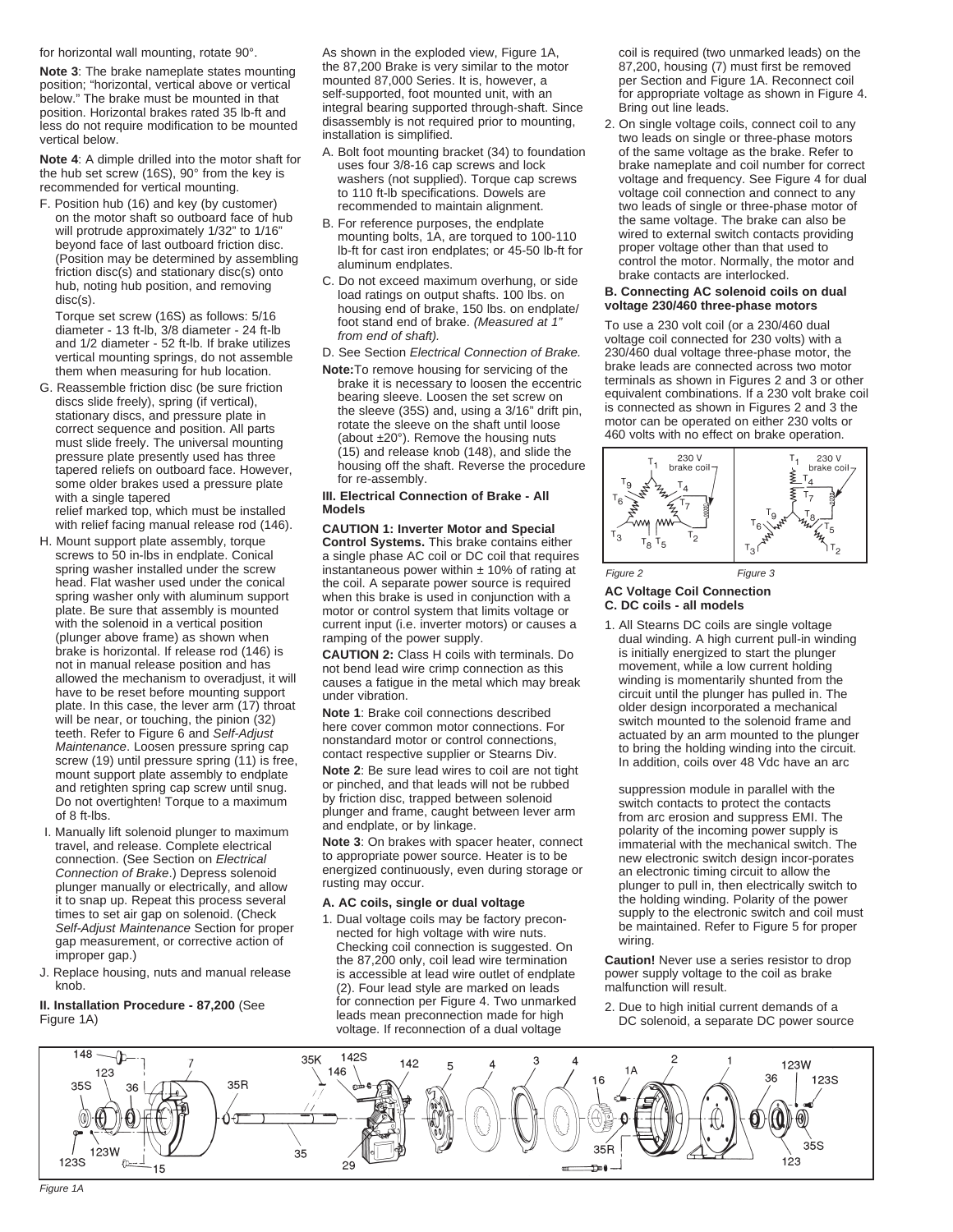for horizontal wall mounting, rotate 90°.

**Note 3**: The brake nameplate states mounting position; "horizontal, vertical above or vertical below." The brake must be mounted in that position. Horizontal brakes rated 35 lb-ft and less do not require modification to be mounted vertical below.

**Note 4**: A dimple drilled into the motor shaft for the hub set screw (16S), 90° from the key is recommended for vertical mounting.

F. Position hub (16) and key (by customer) on the motor shaft so outboard face of hub will protrude approximately 1/32" to 1/16" beyond face of last outboard friction disc. (Position may be determined by assembling friction disc(s) and stationary disc(s) onto hub, noting hub position, and removing disc(s).

Torque set screw (16S) as follows: 5/16 diameter - 13 ft-lb, 3/8 diameter - 24 ft-lb and 1/2 diameter - 52 ft-lb. If brake utilizes vertical mounting springs, do not assemble them when measuring for hub location.

G. Reassemble friction disc (be sure friction discs slide freely), spring (if vertical), stationary discs, and pressure plate in correct sequence and position. All parts must slide freely. The universal mounting pressure plate presently used has three tapered reliefs on outboard face. However, some older brakes used a pressure plate with a single tapered

relief marked top, which must be installed with relief facing manual release rod (146).

- H. Mount support plate assembly, torque screws to 50 in-lbs in endplate. Conical spring washer installed under the screw head. Flat washer used under the conical spring washer only with aluminum support plate. Be sure that assembly is mounted with the solenoid in a vertical position (plunger above frame) as shown when brake is horizontal. If release rod (146) is not in manual release position and has allowed the mechanism to overadjust, it will have to be reset before mounting support plate. In this case, the lever arm (17) throat will be near, or touching, the pinion (32) teeth. Refer to Figure 6 and *Self-Adjust Maintenance*. Loosen pressure spring cap screw (19) until pressure spring (11) is free, mount support plate assembly to endplate and retighten spring cap screw until snug. Do not overtighten! Torque to a maximum of 8 ft-lbs.
- I. Manually lift solenoid plunger to maximum travel, and release. Complete electrical connection. (See Section on *Electrical Connection of Brake*.) Depress solenoid plunger manually or electrically, and allow it to snap up. Repeat this process several times to set air gap on solenoid. (Check *Self-Adjust Maintenance* Section for proper gap measurement, or corrective action of improper gap.)
- J. Replace housing, nuts and manual release knob.

**II. Installation Procedure - 87,200** (See Figure 1A)

As shown in the exploded view, Figure 1A, the 87,200 Brake is very similar to the motor mounted 87,000 Series. It is, however, a self-supported, foot mounted unit, with an integral bearing supported through-shaft. Since disassembly is not required prior to mounting, installation is simplified.

- A. Bolt foot mounting bracket (34) to foundation uses four 3/8-16 cap screws and lock washers (not supplied). Torque cap screws to 110 ft-lb specifications. Dowels are recommended to maintain alignment.
- B. For reference purposes, the endplate mounting bolts, 1A, are torqued to 100-110 lb-ft for cast iron endplates; or 45-50 lb-ft for aluminum endplates.
- C. Do not exceed maximum overhung, or side load ratings on output shafts. 100 lbs. on housing end of brake, 150 lbs. on endplate/ foot stand end of brake. *(Measured at 1" from end of shaft).*
- D. See Section *Electrical Connection of Brake.*
- **Note:**To remove housing for servicing of the brake it is necessary to loosen the eccentric bearing sleeve. Loosen the set screw on the sleeve (35S) and, using a 3/16" drift pin, rotate the sleeve on the shaft until loose (about ±20°). Remove the housing nuts (15) and release knob (148), and slide the housing off the shaft. Reverse the procedure for re-assembly.

#### **III. Electrical Connection of Brake - All Models**

**CAUTION 1: Inverter Motor and Special Control Systems.** This brake contains either a single phase AC coil or DC coil that requires instantaneous power within  $± 10%$  of rating at the coil. A separate power source is required when this brake is used in conjunction with a motor or control system that limits voltage or current input (i.e. inverter motors) or causes a ramping of the power supply.

**CAUTION 2:** Class H coils with terminals. Do not bend lead wire crimp connection as this causes a fatigue in the metal which may break under vibration.

**Note 1**: Brake coil connections described here cover common motor connections. For nonstandard motor or control connections, contact respective supplier or Stearns Div. **Note 2**: Be sure lead wires to coil are not tight or pinched, and that leads will not be rubbed by friction disc, trapped between solenoid plunger and frame, caught between lever arm and endplate, or by linkage.

**Note 3**: On brakes with spacer heater, connect to appropriate power source. Heater is to be energized continuously, even during storage or rusting may occur.

### **A. AC coils, single or dual voltage**

1. Dual voltage coils may be factory preconnected for high voltage with wire nuts. Checking coil connection is suggested. On the 87,200 only, coil lead wire termination is accessible at lead wire outlet of endplate (2). Four lead style are marked on leads for connection per Figure 4. Two unmarked leads mean preconnection made for high voltage. If reconnection of a dual voltage

coil is required (two unmarked leads) on the 87,200, housing (7) must first be removed per Section and Figure 1A. Reconnect coil for appropriate voltage as shown in Figure 4. Bring out line leads.

2. On single voltage coils, connect coil to any two leads on single or three-phase motors of the same voltage as the brake. Refer to brake nameplate and coil number for correct voltage and frequency. See Figure 4 for dual voltage coil connection and connect to any two leads of single or three-phase motor of the same voltage. The brake can also be wired to external switch contacts providing proper voltage other than that used to control the motor. Normally, the motor and brake contacts are interlocked.

# **B. Connecting AC solenoid coils on dual voltage 230/460 three-phase motors**

To use a 230 volt coil (or a 230/460 dual voltage coil connected for 230 volts) with a 230/460 dual voltage three-phase motor, the brake leads are connected across two motor terminals as shown in Figures 2 and 3 or other equivalent combinations. If a 230 volt brake coil is connected as shown in Figures 2 and 3 the motor can be operated on either 230 volts or 460 volts with no effect on brake operation.



# **AC Voltage Coil Connection C. DC coils - all models** *Figure 2 Figure 3*

1. All Stearns DC coils are single voltage dual winding. A high current pull-in winding is initially energized to start the plunger movement, while a low current holding winding is momentarily shunted from the circuit until the plunger has pulled in. The older design incorporated a mechanical switch mounted to the solenoid frame and actuated by an arm mounted to the plunger to bring the holding winding into the circuit. In addition, coils over 48 Vdc have an arc

suppression module in parallel with the switch contacts to protect the contacts from arc erosion and suppress EMI. The polarity of the incoming power supply is immaterial with the mechanical switch. The new electronic switch design incor-porates an electronic timing circuit to allow the plunger to pull in, then electrically switch to the holding winding. Polarity of the power supply to the electronic switch and coil must be maintained. Refer to Figure 5 for proper wiring.

**Caution!** Never use a series resistor to drop power supply voltage to the coil as brake malfunction will result.

2. Due to high initial current demands of a DC solenoid, a separate DC power source

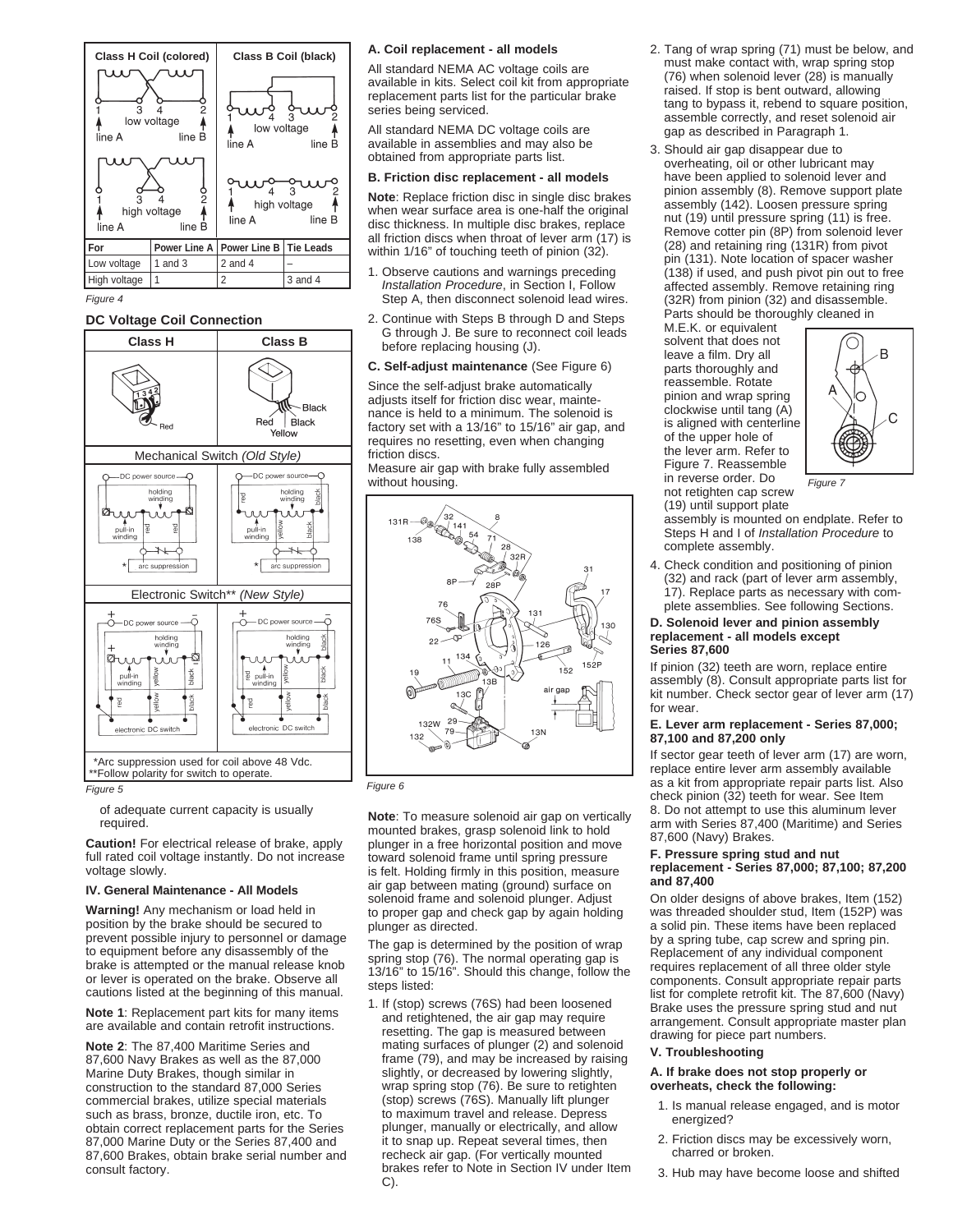

*Figure 4*

# **DC Voltage Coil Connection**



*Figure 5*

of adequate current capacity is usually required.

**Caution!** For electrical release of brake, apply full rated coil voltage instantly. Do not increase voltage slowly.

### **IV. General Maintenance - All Models**

**Warning!** Any mechanism or load held in position by the brake should be secured to prevent possible injury to personnel or damage to equipment before any disassembly of the brake is attempted or the manual release knob or lever is operated on the brake. Observe all cautions listed at the beginning of this manual.

**Note 1**: Replacement part kits for many items are available and contain retrofit instructions.

**Note 2**: The 87,400 Maritime Series and 87,600 Navy Brakes as well as the 87,000 Marine Duty Brakes, though similar in construction to the standard 87,000 Series commercial brakes, utilize special materials such as brass, bronze, ductile iron, etc. To obtain correct replacement parts for the Series 87,000 Marine Duty or the Series 87,400 and 87,600 Brakes, obtain brake serial number and consult factory.

#### **A. Coil replacement - all models**

All standard NEMA AC voltage coils are available in kits. Select coil kit from appropriate replacement parts list for the particular brake series being serviced.

All standard NEMA DC voltage coils are available in assemblies and may also be obtained from appropriate parts list.

# **B. Friction disc replacement - all models**

**Note**: Replace friction disc in single disc brakes when wear surface area is one-half the original disc thickness. In multiple disc brakes, replace all friction discs when throat of lever arm (17) is within 1/16" of touching teeth of pinion (32).

- 1. Observe cautions and warnings preceding *Installation Procedure*, in Section I, Follow Step A, then disconnect solenoid lead wires.
- 2. Continue with Steps B through D and Steps G through J. Be sure to reconnect coil leads before replacing housing (J).
- **C. Self-adjust maintenance** (See Figure 6)

Since the self-adjust brake automatically adjusts itself for friction disc wear, maintenance is held to a minimum. The solenoid is factory set with a 13/16" to 15/16" air gap, and requires no resetting, even when changing friction discs.

Measure air gap with brake fully assembled without housing.



*Figure 6*

**Note**: To measure solenoid air gap on vertically mounted brakes, grasp solenoid link to hold plunger in a free horizontal position and move toward solenoid frame until spring pressure is felt. Holding firmly in this position, measure air gap between mating (ground) surface on solenoid frame and solenoid plunger. Adjust to proper gap and check gap by again holding plunger as directed.

The gap is determined by the position of wrap spring stop (76). The normal operating gap is 13/16" to 15/16". Should this change, follow the steps listed:

1. If (stop) screws (76S) had been loosened and retightened, the air gap may require resetting. The gap is measured between mating surfaces of plunger (2) and solenoid frame (79), and may be increased by raising slightly, or decreased by lowering slightly, wrap spring stop (76). Be sure to retighten (stop) screws (76S). Manually lift plunger to maximum travel and release. Depress plunger, manually or electrically, and allow it to snap up. Repeat several times, then recheck air gap. (For vertically mounted brakes refer to Note in Section IV under Item C).

- 2. Tang of wrap spring (71) must be below, and must make contact with, wrap spring stop (76) when solenoid lever (28) is manually raised. If stop is bent outward, allowing tang to bypass it, rebend to square position, assemble correctly, and reset solenoid air gap as described in Paragraph 1.
- 3. Should air gap disappear due to overheating, oil or other lubricant may have been applied to solenoid lever and pinion assembly (8). Remove support plate assembly (142). Loosen pressure spring nut (19) until pressure spring (11) is free. Remove cotter pin (8P) from solenoid lever (28) and retaining ring (131R) from pivot pin (131). Note location of spacer washer (138) if used, and push pivot pin out to free affected assembly. Remove retaining ring (32R) from pinion (32) and disassemble. Parts should be thoroughly cleaned in

M.E.K. or equivalent solvent that does not leave a film. Dry all parts thoroughly and reassemble. Rotate pinion and wrap spring clockwise until tang (A) is aligned with centerline of the upper hole of the lever arm. Refer to Figure 7. Reassemble in reverse order. Do not retighten cap screw (19) until support plate



*Figure 7*

- assembly is mounted on endplate. Refer to Steps H and I of *Installation Procedure* to complete assembly. 4. Check condition and positioning of pinion
- (32) and rack (part of lever arm assembly, 17). Replace parts as necessary with complete assemblies. See following Sections.

#### **D. Solenoid lever and pinion assembly replacement - all models except Series 87,600**

If pinion (32) teeth are worn, replace entire assembly (8). Consult appropriate parts list for kit number. Check sector gear of lever arm (17) for wear.

#### **E. Lever arm replacement - Series 87,000; 87,100 and 87,200 only**

If sector gear teeth of lever arm (17) are worn, replace entire lever arm assembly available as a kit from appropriate repair parts list. Also check pinion (32) teeth for wear. See Item 8. Do not attempt to use this aluminum lever arm with Series 87,400 (Maritime) and Series 87,600 (Navy) Brakes.

#### **F. Pressure spring stud and nut replacement - Series 87,000; 87,100; 87,200 and 87,400**

On older designs of above brakes, Item (152) was threaded shoulder stud, Item (152P) was a solid pin. These items have been replaced by a spring tube, cap screw and spring pin. Replacement of any individual component requires replacement of all three older style components. Consult appropriate repair parts list for complete retrofit kit. The 87,600 (Navy) Brake uses the pressure spring stud and nut arrangement. Consult appropriate master plan drawing for piece part numbers.

# **V. Troubleshooting**

## **A. If brake does not stop properly or overheats, check the following:**

- 1. Is manual release engaged, and is motor energized?
- 2. Friction discs may be excessively worn, charred or broken.
- 3. Hub may have become loose and shifted